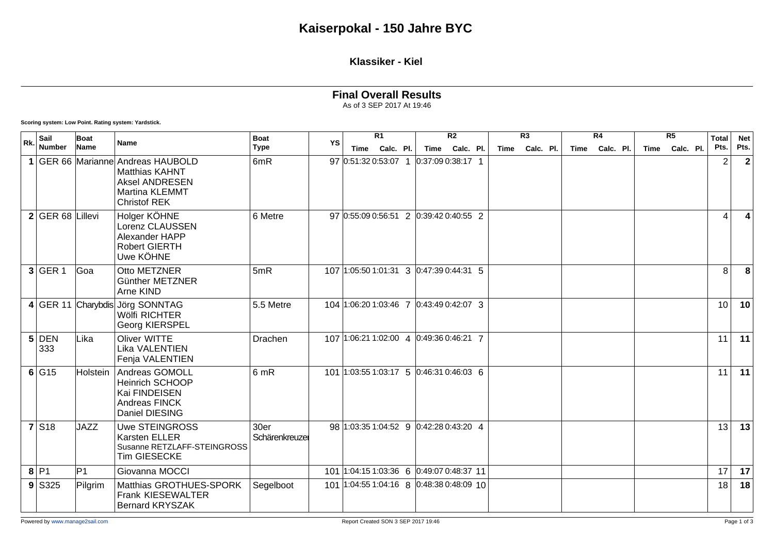## **Klassiker - Kiel**

## **Final Overall Results** As of 3 SEP 2017 At 19:46

**Scoring system: Low Point. Rating system: Yardstick.**

|     | Sail                | Boat<br>Name   | <b>Name</b>                                                                                                                  | <b>Boat</b><br><b>Type</b> | YS | R1                                       |  | $\overline{R2}$ |                     |  | R3 |             |           | R4 |  |                | R5 |      |           | <b>Total</b> | <b>Net</b>      |      |
|-----|---------------------|----------------|------------------------------------------------------------------------------------------------------------------------------|----------------------------|----|------------------------------------------|--|-----------------|---------------------|--|----|-------------|-----------|----|--|----------------|----|------|-----------|--------------|-----------------|------|
| Rk. | Number              |                |                                                                                                                              |                            |    | Time Calc. Pl.                           |  |                 | Time Calc. Pl.      |  |    | <b>Time</b> | Calc. Pl. |    |  | Time Calc. Pl. |    | Time | Calc. Pl. |              | Pts.            | Pts. |
|     |                     |                | 1 GER 66 Marianne Andreas HAUBOLD<br><b>Matthias KAHNT</b><br><b>Aksel ANDRESEN</b><br>Martina KLEMMT<br><b>Christof REK</b> | 6mR                        |    | 97 0:51:32 0:53:07 1                     |  |                 | $ 0:37:090:38:17$ 1 |  |    |             |           |    |  |                |    |      |           |              | $\overline{2}$  |      |
|     | $2$ GER 68          | <b>Lillevi</b> | Holger KÖHNE<br>Lorenz CLAUSSEN<br>Alexander HAPP<br><b>Robert GIERTH</b><br>Uwe KÖHNE                                       | 6 Metre                    |    | 97 0:55:09 0:56:51 2 0:39:42 0:40:55 2   |  |                 |                     |  |    |             |           |    |  |                |    |      |           |              | 4               |      |
|     | $3$ GER 1           | Goa            | Otto METZNER<br>Günther METZNER<br>Arne KIND                                                                                 | 5mR                        |    | 107 1:05:50 1:01:31 3 0:47:39 0:44:31 5  |  |                 |                     |  |    |             |           |    |  |                |    |      |           |              | 8               |      |
|     |                     |                | 4 GER 11 Charybdis Jörg SONNTAG<br>Wölfi RICHTER<br>Georg KIERSPEL                                                           | 5.5 Metre                  |    | 104 1:06:20 1:03:46 7 0:43:49 0:42:07 3  |  |                 |                     |  |    |             |           |    |  |                |    |      |           |              | 10 <sup>1</sup> | 10   |
|     | $5$ DEN<br>333      | Lika           | Oliver WITTE<br>Lika VALENTIEN<br>Fenja VALENTIEN                                                                            | Drachen                    |    | 107 1:06:21 1:02:00 4 0:49:36 0:46:21 7  |  |                 |                     |  |    |             |           |    |  |                |    |      |           |              | 11              | 11   |
|     | 6 G15               | Holstein       | Andreas GOMOLL<br><b>Heinrich SCHOOP</b><br>Kai FINDEISEN<br>Andreas FINCK<br>Daniel DIESING                                 | 6 mR                       |    | 101 1:03:55 1:03:17 5 0:46:31 0:46:03 6  |  |                 |                     |  |    |             |           |    |  |                |    |      |           |              | 11              | 11   |
|     | $7$ S <sub>18</sub> | <b>JAZZ</b>    | <b>Uwe STEINGROSS</b><br>Karsten ELLER<br>Susanne RETZLAFF-STEINGROSS<br><b>Tim GIESECKE</b>                                 | 30er<br>Schärenkreuzer     |    | 98 1:03:35 1:04:52 9 0:42:28 0:43:20 4   |  |                 |                     |  |    |             |           |    |  |                |    |      |           |              | 13              | 13   |
|     | 8 P1                | IP1            | Giovanna MOCCI                                                                                                               |                            |    | 101 1:04:15 1:03:36 6 0:49:07 0:48:37 11 |  |                 |                     |  |    |             |           |    |  |                |    |      |           |              | 17              | 17   |
|     | $9$ S325            | Pilgrim        | Matthias GROTHUES-SPORK<br>Frank KIESEWALTER<br><b>Bernard KRYSZAK</b>                                                       | Segelboot                  |    | 101 1:04:55 1:04:16 8 0:48:38 0:48:09 10 |  |                 |                     |  |    |             |           |    |  |                |    |      |           |              | 18              | 18   |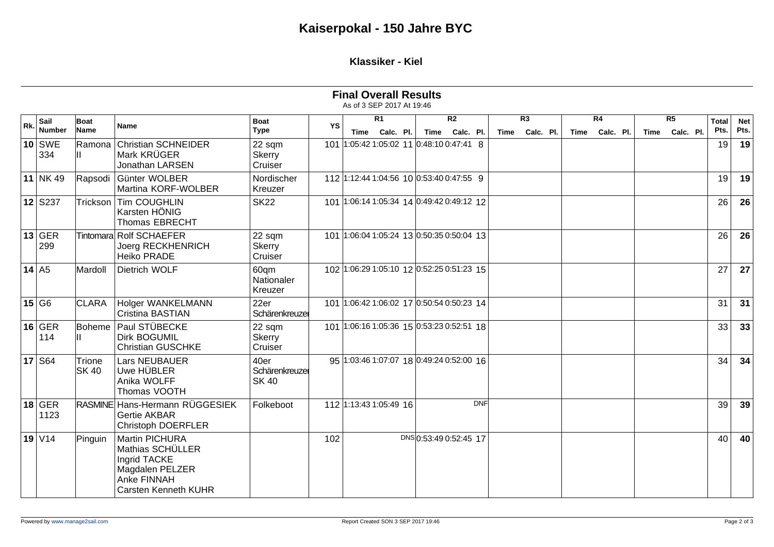**Klassiker - Kiel**

|     |                       |                 |                                                                                                                     |                                        |     | <b>Final Overall Results</b><br>As of 3 SEP 2017 At 19:46 |                                  |                                      |                                |                         |                      |                    |
|-----|-----------------------|-----------------|---------------------------------------------------------------------------------------------------------------------|----------------------------------------|-----|-----------------------------------------------------------|----------------------------------|--------------------------------------|--------------------------------|-------------------------|----------------------|--------------------|
| Rk. | Sail<br><b>Number</b> | Boat<br>Name    | <b>Name</b>                                                                                                         | <b>Boat</b><br><b>Type</b>             | YS  | R1<br>Time Calc. Pl.                                      | R <sub>2</sub><br>Time Calc. Pl. | $\overline{R3}$<br>Calc. Pl.<br>Time | R4<br>Calc. Pl.<br><b>Time</b> | R5<br>Calc. Pl.<br>Time | <b>Total</b><br>Pts. | <b>Net</b><br>Pts. |
|     | $10$ SWE<br>334       | Ramona          | <b>Christian SCHNEIDER</b><br>Mark KRÜGER<br>Jonathan LARSEN                                                        | 22 sqm<br>Skerry<br>Cruiser            |     | 101 1:05:42 1:05:02 11 0:48:10 0:47:41 8                  |                                  |                                      |                                |                         | 19                   | 19                 |
|     | 11 NK 49              | Rapsodi         | Günter WOLBER<br>Martina KORF-WOLBER                                                                                | Nordischer<br>Kreuzer                  |     | 112 1:12:44 1:04:56 10 0:53:40 0:47:55 9                  |                                  |                                      |                                |                         | 19                   | 19                 |
|     | $12$ S237             | Trickson        | Tim COUGHLIN<br>Karsten HÖNIG<br><b>Thomas EBRECHT</b>                                                              | <b>SK22</b>                            |     | 101 1:06:14 1:05:34 14 0:49:42 0:49:12 12                 |                                  |                                      |                                |                         | 26                   | 26                 |
|     | $13$ GER<br>299       |                 | Tintomara Rolf SCHAEFER<br>Joerg RECKHENRICH<br>Heiko PRADE                                                         | 22 sqm<br><b>Skerry</b><br>Cruiser     |     | 101 1:06:04 1:05:24 13 0:50:35 0:50:04 13                 |                                  |                                      |                                |                         | 26                   | 26                 |
|     | $14$ A5               | Mardoll         | Dietrich WOLF                                                                                                       | 60qm<br>Nationaler<br>Kreuzer          |     | 102 1:06:29 1:05:10 12 0:52:25 0:51:23 15                 |                                  |                                      |                                |                         | 27                   | 27                 |
|     | 15 G6                 | <b>CLARA</b>    | <b>Holger WANKELMANN</b><br>Cristina BASTIAN                                                                        | 22er<br>Schärenkreuzer                 |     | 101 1:06:42 1:06:02 17 0:50:54 0:50:23 14                 |                                  |                                      |                                |                         | 31                   | 31                 |
|     | $16$ GER<br>114       | Boheme          | Paul STÜBECKE<br><b>Dirk BOGUMIL</b><br><b>Christian GUSCHKE</b>                                                    | 22 sqm<br>Skerry<br>Cruiser            |     | 101 1:06:16 1:05:36 15 0:53:23 0:52:51 18                 |                                  |                                      |                                |                         | 33                   | 33                 |
|     | $17$ S64              | Trione<br>SK 40 | Lars NEUBAUER<br>Uwe HÜBLER<br>Anika WOLFF<br>Thomas VOOTH                                                          | 40er<br>Schärenkreuzei<br><b>SK 40</b> |     | 95 1:03:46 1:07:07 18 0:49:24 0:52:00 16                  |                                  |                                      |                                |                         | 34                   | 34                 |
|     | $18$ GER<br>1123      |                 | RASMINE Hans-Hermann RÜGGESIEK<br><b>Gertie AKBAR</b><br><b>Christoph DOERFLER</b>                                  | Folkeboot                              |     | 112 1:13:43 1:05:49 16                                    | <b>DNF</b>                       |                                      |                                |                         | 39                   | 39                 |
|     | $19$ $V14$            | Pinguin         | <b>Martin PICHURA</b><br>Mathias SCHÜLLER<br>Ingrid TACKE<br>Magdalen PELZER<br>Anke FINNAH<br>Carsten Kenneth KUHR |                                        | 102 |                                                           | DNS0:53:49 0:52:45 17            |                                      |                                |                         | 40                   | 40                 |